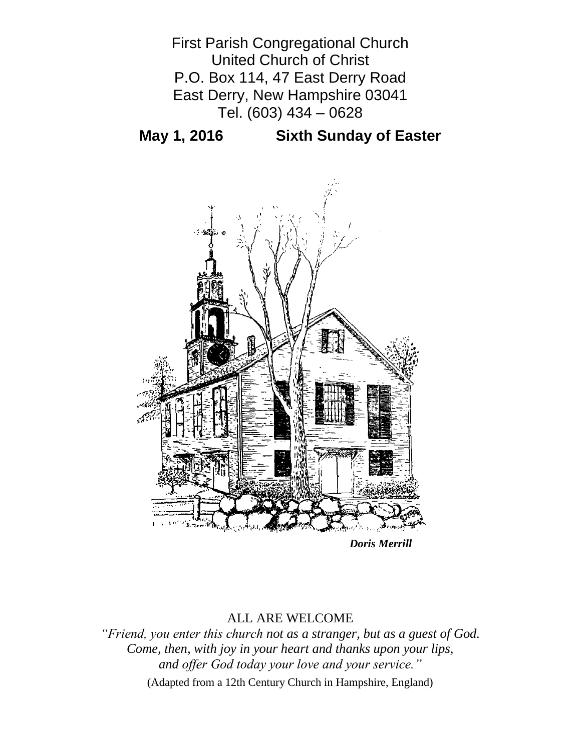

**May 1, 2016 Sixth Sunday of Easter**



*Doris Merrill*

# ALL ARE WELCOME

*"Friend, you enter this church not as a stranger, but as a guest of God. Come, then, with joy in your heart and thanks upon your lips, and offer God today your love and your service."*

(Adapted from a 12th Century Church in Hampshire, England)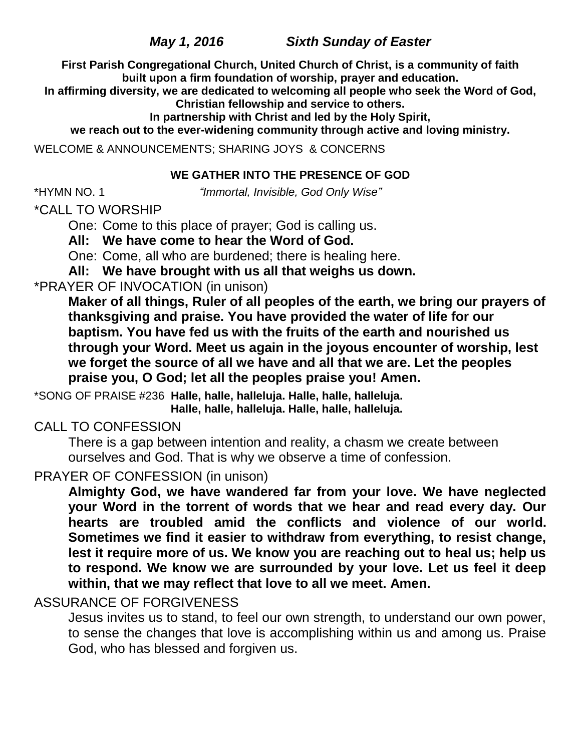*May 1, 2016 Sixth Sunday of Easter*

**First Parish Congregational Church, United Church of Christ, is a community of faith built upon a firm foundation of worship, prayer and education.**

**In affirming diversity, we are dedicated to welcoming all people who seek the Word of God, Christian fellowship and service to others.**

**In partnership with Christ and led by the Holy Spirit,**

**we reach out to the ever-widening community through active and loving ministry.**

WELCOME & ANNOUNCEMENTS; SHARING JOYS & CONCERNS

## **WE GATHER INTO THE PRESENCE OF GOD**

\*HYMN NO. 1 *"Immortal, Invisible, God Only Wise"*

\*CALL TO WORSHIP

One: Come to this place of prayer; God is calling us.

**All: We have come to hear the Word of God.**

One: Come, all who are burdened; there is healing here.

**All: We have brought with us all that weighs us down.**

# \*PRAYER OF INVOCATION (in unison)

**Maker of all things, Ruler of all peoples of the earth, we bring our prayers of thanksgiving and praise. You have provided the water of life for our baptism. You have fed us with the fruits of the earth and nourished us through your Word. Meet us again in the joyous encounter of worship, lest we forget the source of all we have and all that we are. Let the peoples praise you, O God; let all the peoples praise you! Amen.**

\*SONG OF PRAISE #236 **Halle, halle, halleluja. Halle, halle, halleluja. Halle, halle, halleluja. Halle, halle, halleluja.**

# CALL TO CONFESSION

There is a gap between intention and reality, a chasm we create between ourselves and God. That is why we observe a time of confession.

# PRAYER OF CONFESSION (in unison)

**Almighty God, we have wandered far from your love. We have neglected your Word in the torrent of words that we hear and read every day. Our hearts are troubled amid the conflicts and violence of our world. Sometimes we find it easier to withdraw from everything, to resist change, lest it require more of us. We know you are reaching out to heal us; help us to respond. We know we are surrounded by your love. Let us feel it deep within, that we may reflect that love to all we meet. Amen.**

# ASSURANCE OF FORGIVENESS

Jesus invites us to stand, to feel our own strength, to understand our own power, to sense the changes that love is accomplishing within us and among us. Praise God, who has blessed and forgiven us.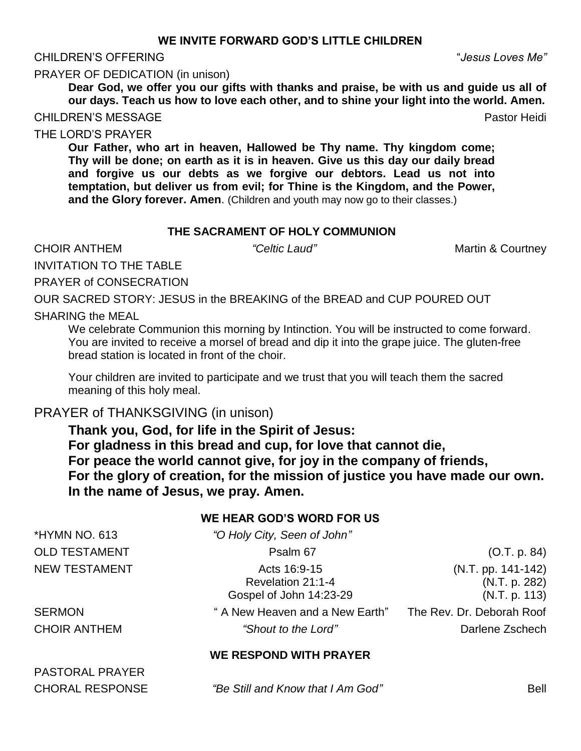#### **WE INVITE FORWARD GOD'S LITTLE CHILDREN**

#### CHILDREN'S OFFERING "*Jesus Loves Me"*

PRAYER OF DEDICATION (in unison)

**Dear God, we offer you our gifts with thanks and praise, be with us and guide us all of our days. Teach us how to love each other, and to shine your light into the world. Amen.**

CHILDREN'S MESSAGE PASTO CHILDREN'S MESSAGE

THE LORD'S PRAYER

**Our Father, who art in heaven, Hallowed be Thy name. Thy kingdom come; Thy will be done; on earth as it is in heaven. Give us this day our daily bread and forgive us our debts as we forgive our debtors. Lead us not into temptation, but deliver us from evil; for Thine is the Kingdom, and the Power, and the Glory forever. Amen**. (Children and youth may now go to their classes.)

#### **THE SACRAMENT OF HOLY COMMUNION**

**CHOIR ANTHEM** *"Celtic Laud"* Martin & Courtney

INVITATION TO THE TABLE

PRAYER of CONSECRATION

OUR SACRED STORY: JESUS in the BREAKING of the BREAD and CUP POURED OUT

#### SHARING the MEAL

We celebrate Communion this morning by Intinction. You will be instructed to come forward. You are invited to receive a morsel of bread and dip it into the grape juice. The gluten-free bread station is located in front of the choir.

Your children are invited to participate and we trust that you will teach them the sacred meaning of this holy meal.

## PRAYER of THANKSGIVING (in unison)

**Thank you, God, for life in the Spirit of Jesus: For gladness in this bread and cup, for love that cannot die, For peace the world cannot give, for joy in the company of friends, For the glory of creation, for the mission of justice you have made our own. In the name of Jesus, we pray. Amen.**

## **WE HEAR GOD'S WORD FOR US**

| *HYMN NO. 613          | "O Holy City, Seen of John"                                  |                                                        |
|------------------------|--------------------------------------------------------------|--------------------------------------------------------|
| <b>OLD TESTAMENT</b>   | Psalm 67                                                     | (O.T. p. 84)                                           |
| <b>NEW TESTAMENT</b>   | Acts 16:9-15<br>Revelation 21:1-4<br>Gospel of John 14:23-29 | $(N.T. pp. 141-142)$<br>(N.T. p. 282)<br>(N.T. p. 113) |
| <b>SERMON</b>          | " A New Heaven and a New Earth"                              | The Rev. Dr. Deborah Roof                              |
| <b>CHOIR ANTHEM</b>    | "Shout to the Lord"                                          | Darlene Zschech                                        |
|                        | WE RESPOND WITH PRAYER                                       |                                                        |
| <b>PASTORAL PRAYER</b> |                                                              |                                                        |
| <b>CHORAL RESPONSE</b> | "Be Still and Know that I Am God"                            | Bell                                                   |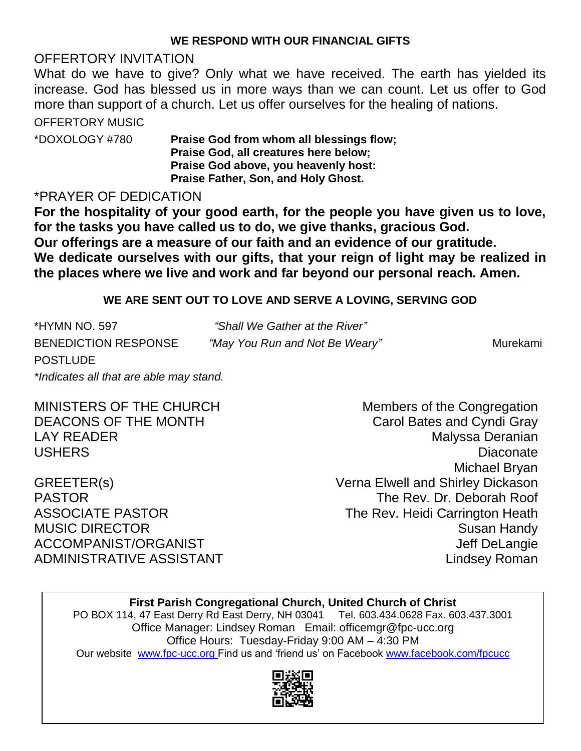## **WE RESPOND WITH OUR FINANCIAL GIFTS**

# OFFERTORY INVITATION

What do we have to give? Only what we have received. The earth has yielded its increase. God has blessed us in more ways than we can count. Let us offer to God more than support of a church. Let us offer ourselves for the healing of nations.

OFFERTORY MUSIC

\*DOXOLOGY #780 **Praise God from whom all blessings flow; Praise God, all creatures here below; Praise God above, you heavenly host: Praise Father, Son, and Holy Ghost.**

# \*PRAYER OF DEDICATION

**For the hospitality of your good earth, for the people you have given us to love, for the tasks you have called us to do, we give thanks, gracious God. Our offerings are a measure of our faith and an evidence of our gratitude. We dedicate ourselves with our gifts, that your reign of light may be realized in the places where we live and work and far beyond our personal reach. Amen.**

# **WE ARE SENT OUT TO LOVE AND SERVE A LOVING, SERVING GOD**

| *HYMN NO. 597<br>"Shall We Gather at the River"        |          |
|--------------------------------------------------------|----------|
| BENEDICTION RESPONSE<br>"May You Run and Not Be Weary" | Murekami |
| <b>POSTLUDE</b>                                        |          |
| *Indicates all that are able may stand.                |          |

MINISTERS OF THE CHURCH Members of the Congregation DEACONS OF THE MONTH Carol Bates and Cyndi Gray LAY READER **Malyssa Deranian** USHERS Diaconate Michael Bryan GREETER(s) Verna Elwell and Shirley Dickason PASTOR The Rev. Dr. Deborah Roof ASSOCIATE PASTOR The Rev. Heidi Carrington Heath MUSIC DIRECTOR **Susan Handy** Susan Handy ACCOMPANIST/ORGANIST ACCOMPANIST/ORGANIST ADMINISTRATIVE ASSISTANT AND THE Lindsey Roman

# **First Parish Congregational Church, United Church of Christ**

PO BOX 114, 47 East Derry Rd East Derry, NH 03041 Tel. 603.434.0628 Fax. 603.437.3001 Office Manager: Lindsey Roman Email: officemgr@fpc-ucc.org Office Hours: Tuesday-Friday 9:00 AM – 4:30 PM Our website [www.fpc-ucc.org](http://www.fpc-ucc.org/) Find us and 'friend us' on Facebook [www.facebook.com/fpcucc](http://www.facebook.com/fpcucc)

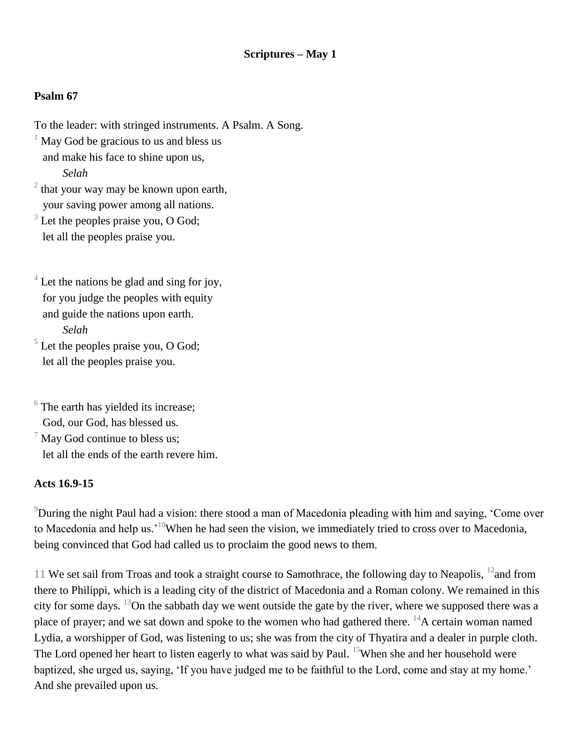### **Psalm 67**

- To the leader: with stringed instruments. A Psalm. A Song.  $1$  May God be gracious to us and bless us and make his face to shine upon us, *Selah*  $2$  that your way may be known upon earth,
- your saving power among all nations.
- $3$  Let the peoples praise you, O God; let all the peoples praise you.

 $4<sup>4</sup>$  Let the nations be glad and sing for joy, for you judge the peoples with equity and guide the nations upon earth. *Selah*

 $<sup>5</sup>$  Let the peoples praise you, O God;</sup> let all the peoples praise you.

 $6$  The earth has yielded its increase; God, our God, has blessed us.  $\frac{7}{7}$  May God continue to bless us; let all the ends of the earth revere him.

#### **Acts 16.9-15**

<sup>9</sup>During the night Paul had a vision: there stood a man of Macedonia pleading with him and saying, 'Come over to Macedonia and help us.<sup>10</sup>When he had seen the vision, we immediately tried to cross over to Macedonia, being convinced that God had called us to proclaim the good news to them.

11 We set sail from Troas and took a straight course to Samothrace, the following day to Neapolis,  $^{12}$ and from there to Philippi, which is a leading city of the district of Macedonia and a Roman colony. We remained in this city for some days.  $^{13}$ On the sabbath day we went outside the gate by the river, where we supposed there was a place of prayer; and we sat down and spoke to the women who had gathered there.  $^{14}$ A certain woman named Lydia, a worshipper of God, was listening to us; she was from the city of Thyatira and a dealer in purple cloth. The Lord opened her heart to listen eagerly to what was said by Paul. <sup>15</sup>When she and her household were baptized, she urged us, saying, 'If you have judged me to be faithful to the Lord, come and stay at my home.' And she prevailed upon us.